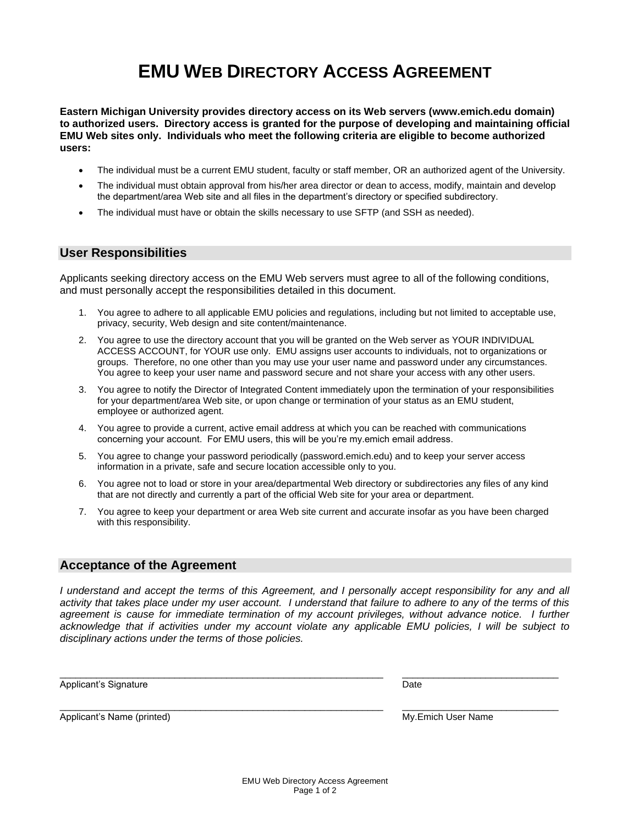## **EMU WEB DIRECTORY ACCESS AGREEMENT**

**Eastern Michigan University provides directory access on its Web servers [\(www.emich.edu](http://www.emich.edu/) domain) to authorized users. Directory access is granted for the purpose of developing and maintaining official EMU Web sites only. Individuals who meet the following criteria are eligible to become authorized users:**

- The individual must be a current EMU student, faculty or staff member, OR an authorized agent of the University.
- The individual must obtain approval from his/her area director or dean to access, modify, maintain and develop the department/area Web site and all files in the department's directory or specified subdirectory.
- The individual must have or obtain the skills necessary to use SFTP (and SSH as needed).

## **User Responsibilities**

Applicants seeking directory access on the EMU Web servers must agree to all of the following conditions, and must personally accept the responsibilities detailed in this document.

- 1. You agree to adhere to all applicable EMU policies and regulations, including but not limited to acceptable use, privacy, security, Web design and site content/maintenance.
- 2. You agree to use the directory account that you will be granted on the Web server as YOUR INDIVIDUAL ACCESS ACCOUNT, for YOUR use only. EMU assigns user accounts to individuals, not to organizations or groups. Therefore, no one other than you may use your user name and password under any circumstances. You agree to keep your user name and password secure and not share your access with any other users.
- 3. You agree to notify the Director of Integrated Content immediately upon the termination of your responsibilities for your department/area Web site, or upon change or termination of your status as an EMU student, employee or authorized agent.
- 4. You agree to provide a current, active email address at which you can be reached with communications concerning your account. For EMU users, this will be you're my.emich email address.
- 5. You agree to change your password periodically (password.emich.edu) and to keep your server access information in a private, safe and secure location accessible only to you.
- 6. You agree not to load or store in your area/departmental Web directory or subdirectories any files of any kind that are not directly and currently a part of the official Web site for your area or department.
- 7. You agree to keep your department or area Web site current and accurate insofar as you have been charged with this responsibility.

## **Acceptance of the Agreement**

*I understand and accept the terms of this Agreement, and I personally accept responsibility for any and all activity that takes place under my user account. I understand that failure to adhere to any of the terms of this agreement is cause for immediate termination of my account privileges, without advance notice. I further acknowledge that if activities under my account violate any applicable EMU policies, I will be subject to disciplinary actions under the terms of those policies.*

 $\_$  . The contribution of the contribution of the contribution of the contribution of  $\mathcal{L}_\text{max}$ 

 $\_$  . The contribution of the contribution of the contribution of the contribution of  $\mathcal{L}_\text{max}$ 

Applicant's Signature **Date** Date of *Applicant's* Signature Date of *Date* Date of *Date* Date

Applicant's Name (printed) My.Emich User Name (printed)